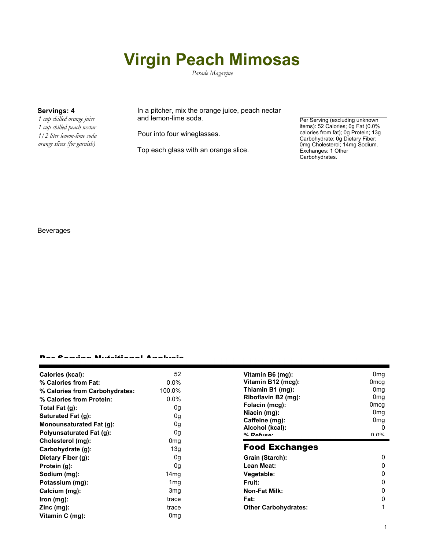# **Virgin Peach Mimosas**

*Parade Magazine*

*1 cup chilled orange juice 1 cup chilled peach nectar 1/2 liter lemon-lime soda orange slices (for garnish)*

**Servings: 4** In a pitcher, mix the orange juice, peach nectar and lemon-lime soda.

Pour into four wineglasses.

Top each glass with an orange slice.

Per Serving (excluding unknown items): 52 Calories; 0g Fat (0.0% calories from fat); 0g Protein; 13g Carbohydrate; 0g Dietary Fiber; 0mg Cholesterol; 14mg Sodium. Exchanges: 1 Other Carbohydrates.

# Beverages

### Per Serving Nutritional Analysis

| Calories (kcal):               | 52              | Vitamin B6 (mg):                  | 0 <sub>mg</sub>  |
|--------------------------------|-----------------|-----------------------------------|------------------|
| % Calories from Fat:           | $0.0\%$         | Vitamin B12 (mcg):                | 0 <sub>mcg</sub> |
| % Calories from Carbohydrates: | 100.0%          | Thiamin B1 (mg):                  | 0 <sub>mq</sub>  |
| % Calories from Protein:       | $0.0\%$         | Riboflavin B2 (mg):               | 0 <sub>mq</sub>  |
| Total Fat $(g)$ :              | 0g              | Folacin (mcg):                    | 0 <sub>mcg</sub> |
| Saturated Fat (g):             | 0g              | Niacin (mg):                      | 0 <sub>mq</sub>  |
| Monounsaturated Fat (g):       | 0g              | Caffeine (mg):                    | 0 <sub>mg</sub>  |
| Polyunsaturated Fat (g):       | 0g              | Alcohol (kcal):<br>$0/2$ Pofileon | 0<br>በ በ%        |
| Cholesterol (mg):              | 0 <sub>mg</sub> |                                   |                  |
| Carbohydrate (g):              | 13g             | <b>Food Exchanges</b>             |                  |
| Dietary Fiber (g):             | 0g              | Grain (Starch):                   | 0                |
| Protein (g):                   | 0g              | Lean Meat:                        | 0                |
| Sodium (mg):                   | 14mg            | Vegetable:                        | 0                |
| Potassium (mg):                | 1 <sub>mg</sub> | Fruit:                            | 0                |
| Calcium (mg):                  | 3 <sub>mg</sub> | <b>Non-Fat Milk:</b>              | 0                |
| lron (mg):                     | trace           | Fat:                              | 0                |
| $Zinc$ (mg):                   | trace           | <b>Other Carbohydrates:</b>       |                  |
| Vitamin C (mg):                | 0 <sub>mg</sub> |                                   |                  |
|                                |                 |                                   |                  |